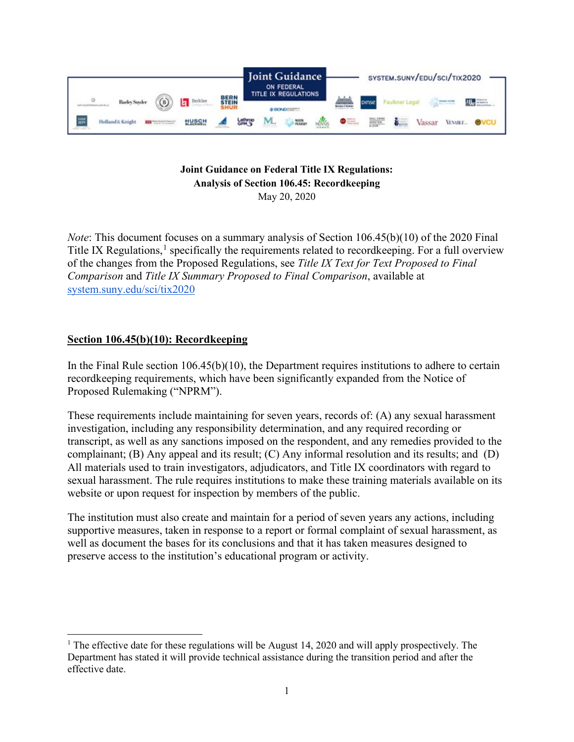

### **Joint Guidance on Federal Title IX Regulations: Analysis of Section 106.45: Recordkeeping** May 20, 2020

*Note*: This document focuses on a summary analysis of Section 106.45(b)(10) of the 2020 Final Title IX Regulations,<sup>[1](#page-0-0)</sup> specifically the requirements related to record keeping. For a full overview of the changes from the Proposed Regulations, see *Title IX Text for Text Proposed to Final Comparison* and *Title IX Summary Proposed to Final Comparison*, available at [system.suny.edu/sci/tix2020](https://system.suny.edu/sci/tix2020/)

# **Section 106.45(b)(10): Recordkeeping**

In the Final Rule section  $106.45(b)(10)$ , the Department requires institutions to adhere to certain recordkeeping requirements, which have been significantly expanded from the Notice of Proposed Rulemaking ("NPRM").

These requirements include maintaining for seven years, records of: (A) any sexual harassment investigation, including any responsibility determination, and any required recording or transcript, as well as any sanctions imposed on the respondent, and any remedies provided to the complainant; (B) Any appeal and its result; (C) Any informal resolution and its results; and (D) All materials used to train investigators, adjudicators, and Title IX coordinators with regard to sexual harassment. The rule requires institutions to make these training materials available on its website or upon request for inspection by members of the public.

The institution must also create and maintain for a period of seven years any actions, including supportive measures, taken in response to a report or formal complaint of sexual harassment, as well as document the bases for its conclusions and that it has taken measures designed to preserve access to the institution's educational program or activity.

<span id="page-0-0"></span><sup>&</sup>lt;sup>1</sup> The effective date for these regulations will be August 14, 2020 and will apply prospectively. The Department has stated it will provide technical assistance during the transition period and after the effective date.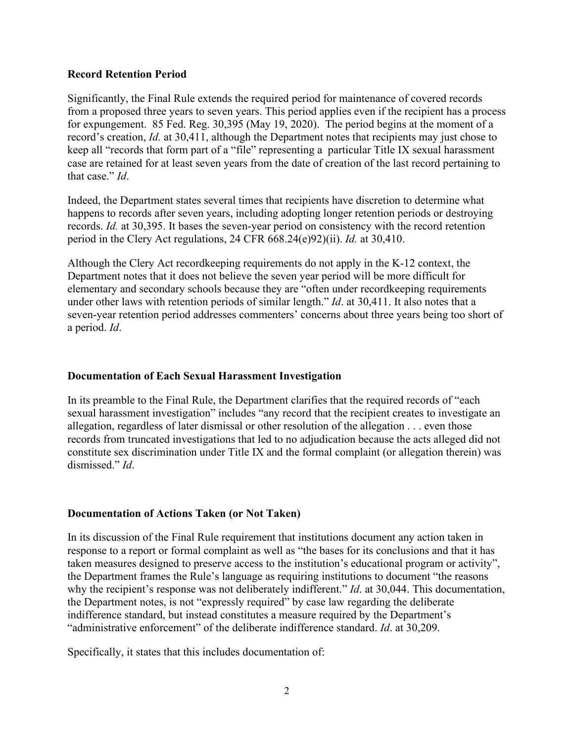#### **Record Retention Period**

Significantly, the Final Rule extends the required period for maintenance of covered records from a proposed three years to seven years. This period applies even if the recipient has a process for expungement. 85 Fed. Reg. 30,395 (May 19, 2020). The period begins at the moment of a record's creation, *Id.* at 30,411, although the Department notes that recipients may just chose to keep all "records that form part of a "file" representing a particular Title IX sexual harassment case are retained for at least seven years from the date of creation of the last record pertaining to that case." *Id*.

Indeed, the Department states several times that recipients have discretion to determine what happens to records after seven years, including adopting longer retention periods or destroying records. *Id.* at 30,395. It bases the seven-year period on consistency with the record retention period in the Clery Act regulations, 24 CFR 668.24(e)92)(ii). *Id.* at 30,410.

Although the Clery Act recordkeeping requirements do not apply in the K-12 context, the Department notes that it does not believe the seven year period will be more difficult for elementary and secondary schools because they are "often under recordkeeping requirements under other laws with retention periods of similar length." *Id*. at 30,411. It also notes that a seven-year retention period addresses commenters' concerns about three years being too short of a period. *Id*.

#### **Documentation of Each Sexual Harassment Investigation**

In its preamble to the Final Rule, the Department clarifies that the required records of "each sexual harassment investigation" includes "any record that the recipient creates to investigate an allegation, regardless of later dismissal or other resolution of the allegation . . . even those records from truncated investigations that led to no adjudication because the acts alleged did not constitute sex discrimination under Title IX and the formal complaint (or allegation therein) was dismissed." *Id*.

## **Documentation of Actions Taken (or Not Taken)**

In its discussion of the Final Rule requirement that institutions document any action taken in response to a report or formal complaint as well as "the bases for its conclusions and that it has taken measures designed to preserve access to the institution's educational program or activity", the Department frames the Rule's language as requiring institutions to document "the reasons why the recipient's response was not deliberately indifferent." *Id*. at 30,044. This documentation, the Department notes, is not "expressly required" by case law regarding the deliberate indifference standard, but instead constitutes a measure required by the Department's "administrative enforcement" of the deliberate indifference standard. *Id*. at 30,209.

Specifically, it states that this includes documentation of: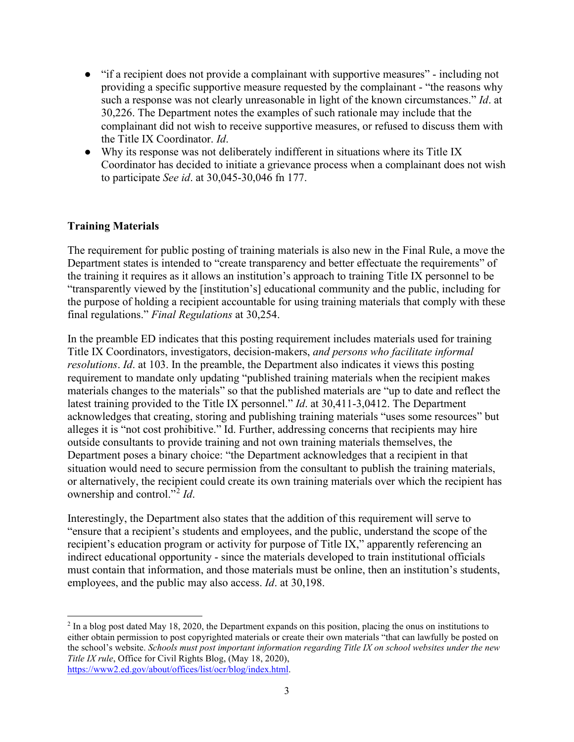- "if a recipient does not provide a complainant with supportive measures" including not providing a specific supportive measure requested by the complainant - "the reasons why such a response was not clearly unreasonable in light of the known circumstances." *Id*. at 30,226. The Department notes the examples of such rationale may include that the complainant did not wish to receive supportive measures, or refused to discuss them with the Title IX Coordinator. *Id*.
- Why its response was not deliberately indifferent in situations where its Title IX Coordinator has decided to initiate a grievance process when a complainant does not wish to participate *See id*. at 30,045-30,046 fn 177.

## **Training Materials**

The requirement for public posting of training materials is also new in the Final Rule, a move the Department states is intended to "create transparency and better effectuate the requirements" of the training it requires as it allows an institution's approach to training Title IX personnel to be "transparently viewed by the [institution's] educational community and the public, including for the purpose of holding a recipient accountable for using training materials that comply with these final regulations." *Final Regulations* at 30,254.

In the preamble ED indicates that this posting requirement includes materials used for training Title IX Coordinators, investigators, decision-makers, *and persons who facilitate informal resolutions*. *Id*. at 103. In the preamble, the Department also indicates it views this posting requirement to mandate only updating "published training materials when the recipient makes materials changes to the materials" so that the published materials are "up to date and reflect the latest training provided to the Title IX personnel." *Id*. at 30,411-3,0412. The Department acknowledges that creating, storing and publishing training materials "uses some resources" but alleges it is "not cost prohibitive." Id. Further, addressing concerns that recipients may hire outside consultants to provide training and not own training materials themselves, the Department poses a binary choice: "the Department acknowledges that a recipient in that situation would need to secure permission from the consultant to publish the training materials, or alternatively, the recipient could create its own training materials over which the recipient has ownership and control."[2](#page-2-0) *Id*.

Interestingly, the Department also states that the addition of this requirement will serve to "ensure that a recipient's students and employees, and the public, understand the scope of the recipient's education program or activity for purpose of Title IX," apparently referencing an indirect educational opportunity - since the materials developed to train institutional officials must contain that information, and those materials must be online, then an institution's students, employees, and the public may also access. *Id*. at 30,198.

<span id="page-2-0"></span> $2 \text{ In a blog post dated May 18, 2020, the Department expands on this position, placing the onus on institutions to$ either obtain permission to post copyrighted materials or create their own materials "that can lawfully be posted on the school's website. *Schools must post important information regarding Title IX on school websites under the new Title IX rule*, Office for Civil Rights Blog, (May 18, 2020), [https://www2.ed.gov/about/offices/list/ocr/blog/index.html.](https://www2.ed.gov/about/offices/list/ocr/blog/index.html)